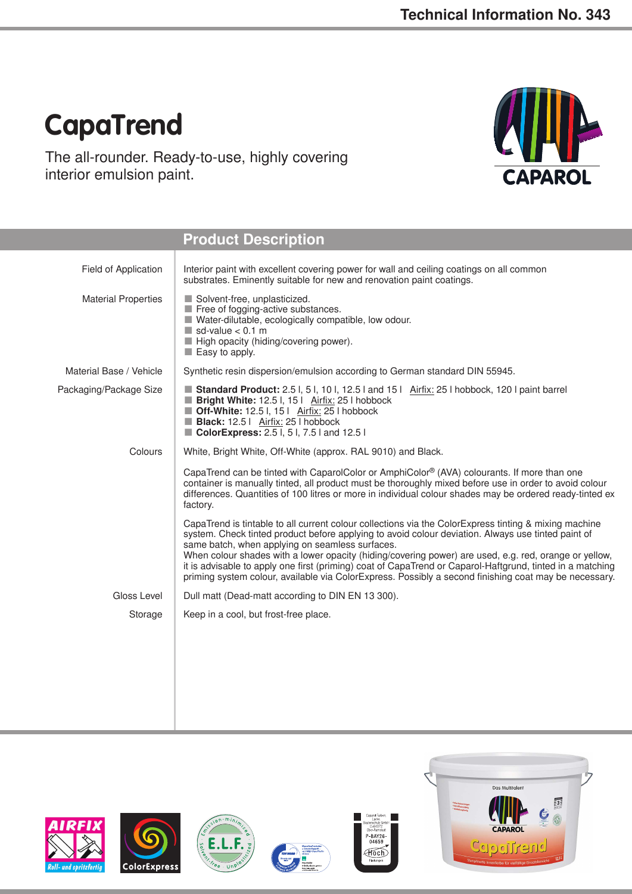## **CapaTrend**

The all-rounder. Ready-to-use, highly covering interior emulsion paint.



|                            | <b>Product Description</b>                                                                                                                                                                                                                                                                                                                                                                                                                                                                                                                                                                    |  |  |  |
|----------------------------|-----------------------------------------------------------------------------------------------------------------------------------------------------------------------------------------------------------------------------------------------------------------------------------------------------------------------------------------------------------------------------------------------------------------------------------------------------------------------------------------------------------------------------------------------------------------------------------------------|--|--|--|
| Field of Application       | Interior paint with excellent covering power for wall and ceiling coatings on all common<br>substrates. Eminently suitable for new and renovation paint coatings.                                                                                                                                                                                                                                                                                                                                                                                                                             |  |  |  |
| <b>Material Properties</b> | Solvent-free, unplasticized.<br>Free of fogging-active substances.<br>Water-dilutable, ecologically compatible, low odour.<br>$\blacksquare$ sd-value < 0.1 m<br>High opacity (hiding/covering power).<br>Easy to apply.                                                                                                                                                                                                                                                                                                                                                                      |  |  |  |
| Material Base / Vehicle    | Synthetic resin dispersion/emulsion according to German standard DIN 55945.                                                                                                                                                                                                                                                                                                                                                                                                                                                                                                                   |  |  |  |
| Packaging/Package Size     | Standard Product: 2.5 I, 5 I, 10 I, 12.5 I and 15   Airfix: 25 I hobbock, 120 I paint barrel<br>Bright White: 12.5 l, 15   Airfix: 25   hobbock<br>Off-White: 12.5 I, 15   Airfix: 25   hobbock<br>Black: 12.5   Airfix: 25   hobbock<br>ColorExpress: 2.5 l, 5 l, 7.5 l and 12.5 l                                                                                                                                                                                                                                                                                                           |  |  |  |
| Colours                    | White, Bright White, Off-White (approx. RAL 9010) and Black.                                                                                                                                                                                                                                                                                                                                                                                                                                                                                                                                  |  |  |  |
|                            | CapaTrend can be tinted with CaparolColor or AmphiColor® (AVA) colourants. If more than one<br>container is manually tinted, all product must be thoroughly mixed before use in order to avoid colour<br>differences. Quantities of 100 litres or more in individual colour shades may be ordered ready-tinted ex<br>factory.                                                                                                                                                                                                                                                                 |  |  |  |
|                            | CapaTrend is tintable to all current colour collections via the ColorExpress tinting & mixing machine<br>system. Check tinted product before applying to avoid colour deviation. Always use tinted paint of<br>same batch, when applying on seamless surfaces.<br>When colour shades with a lower opacity (hiding/covering power) are used, e.g. red, orange or yellow,<br>it is advisable to apply one first (priming) coat of CapaTrend or Caparol-Haftgrund, tinted in a matching<br>priming system colour, available via ColorExpress. Possibly a second finishing coat may be necessary. |  |  |  |
| Gloss Level                | Dull matt (Dead-matt according to DIN EN 13 300).                                                                                                                                                                                                                                                                                                                                                                                                                                                                                                                                             |  |  |  |
| Storage                    | Keep in a cool, but frost-free place.                                                                                                                                                                                                                                                                                                                                                                                                                                                                                                                                                         |  |  |  |
|                            |                                                                                                                                                                                                                                                                                                                                                                                                                                                                                                                                                                                               |  |  |  |









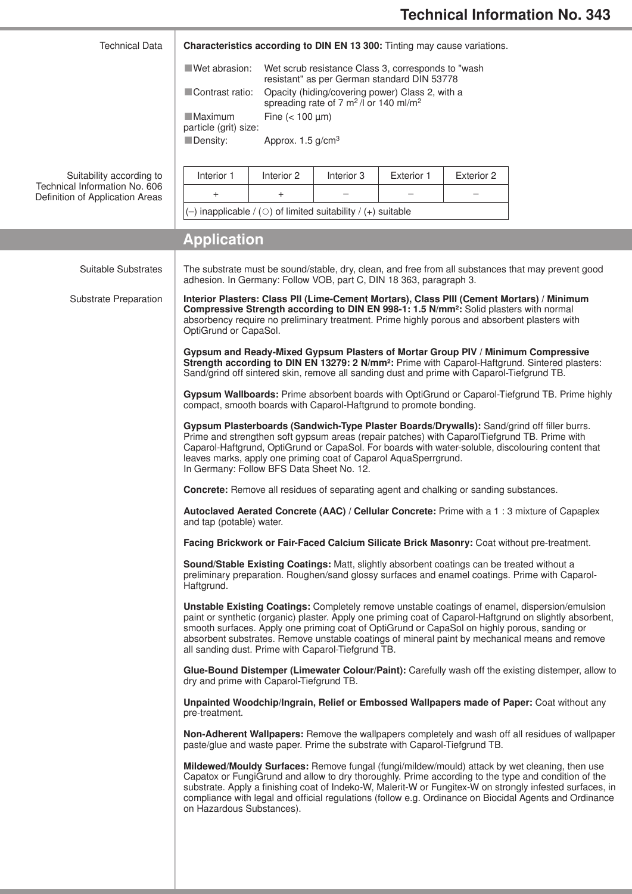| <b>Technical Data</b>                                                                        | Characteristics according to DIN EN 13 300: Tinting may cause variations.                                                                                                                                                                                                                                                                                                                                       |                                 |            |                   |                          |                                                                                                                                                                                                                                                                                                                                                                                                                            |  |
|----------------------------------------------------------------------------------------------|-----------------------------------------------------------------------------------------------------------------------------------------------------------------------------------------------------------------------------------------------------------------------------------------------------------------------------------------------------------------------------------------------------------------|---------------------------------|------------|-------------------|--------------------------|----------------------------------------------------------------------------------------------------------------------------------------------------------------------------------------------------------------------------------------------------------------------------------------------------------------------------------------------------------------------------------------------------------------------------|--|
|                                                                                              | Wet abrasion:<br>Wet scrub resistance Class 3, corresponds to "wash"<br>resistant" as per German standard DIN 53778                                                                                                                                                                                                                                                                                             |                                 |            |                   |                          |                                                                                                                                                                                                                                                                                                                                                                                                                            |  |
|                                                                                              | Opacity (hiding/covering power) Class 2, with a<br>Contrast ratio:<br>spreading rate of 7 m <sup>2</sup> /l or 140 ml/m <sup>2</sup>                                                                                                                                                                                                                                                                            |                                 |            |                   |                          |                                                                                                                                                                                                                                                                                                                                                                                                                            |  |
|                                                                                              | Fine $(< 100 \mu m)$<br><b>Maximum</b><br>particle (grit) size:                                                                                                                                                                                                                                                                                                                                                 |                                 |            |                   |                          |                                                                                                                                                                                                                                                                                                                                                                                                                            |  |
|                                                                                              | Density:                                                                                                                                                                                                                                                                                                                                                                                                        | Approx. $1.5$ g/cm <sup>3</sup> |            |                   |                          |                                                                                                                                                                                                                                                                                                                                                                                                                            |  |
| Suitability according to<br>Technical Information No. 606<br>Definition of Application Areas | Interior 1                                                                                                                                                                                                                                                                                                                                                                                                      | Interior 2                      | Interior 3 | <b>Exterior 1</b> | Exterior 2               |                                                                                                                                                                                                                                                                                                                                                                                                                            |  |
|                                                                                              | $\ddot{}$                                                                                                                                                                                                                                                                                                                                                                                                       | $\ddot{}$                       |            |                   | $\overline{\phantom{0}}$ |                                                                                                                                                                                                                                                                                                                                                                                                                            |  |
|                                                                                              | $(-)$ inapplicable / ( $\circ$ ) of limited suitability / (+) suitable                                                                                                                                                                                                                                                                                                                                          |                                 |            |                   |                          |                                                                                                                                                                                                                                                                                                                                                                                                                            |  |
|                                                                                              | <b>Application</b>                                                                                                                                                                                                                                                                                                                                                                                              |                                 |            |                   |                          |                                                                                                                                                                                                                                                                                                                                                                                                                            |  |
| Suitable Substrates                                                                          | adhesion. In Germany: Follow VOB, part C, DIN 18 363, paragraph 3.                                                                                                                                                                                                                                                                                                                                              |                                 |            |                   |                          | The substrate must be sound/stable, dry, clean, and free from all substances that may prevent good                                                                                                                                                                                                                                                                                                                         |  |
| Substrate Preparation                                                                        | Interior Plasters: Class PII (Lime-Cement Mortars), Class PIII (Cement Mortars) / Minimum<br>Compressive Strength according to DIN EN 998-1: 1.5 N/mm <sup>2</sup> : Solid plasters with normal<br>absorbency require no preliminary treatment. Prime highly porous and absorbent plasters with<br>OptiGrund or CapaSol.                                                                                        |                                 |            |                   |                          |                                                                                                                                                                                                                                                                                                                                                                                                                            |  |
|                                                                                              | Gypsum and Ready-Mixed Gypsum Plasters of Mortar Group PIV / Minimum Compressive<br>Strength according to DIN EN 13279: 2 N/mm <sup>2</sup> : Prime with Caparol-Haftgrund. Sintered plasters:<br>Sand/grind off sintered skin, remove all sanding dust and prime with Caparol-Tiefgrund TB.                                                                                                                    |                                 |            |                   |                          |                                                                                                                                                                                                                                                                                                                                                                                                                            |  |
|                                                                                              | Gypsum Wallboards: Prime absorbent boards with OptiGrund or Caparol-Tiefgrund TB. Prime highly<br>compact, smooth boards with Caparol-Haftgrund to promote bonding.                                                                                                                                                                                                                                             |                                 |            |                   |                          |                                                                                                                                                                                                                                                                                                                                                                                                                            |  |
|                                                                                              | Gypsum Plasterboards (Sandwich-Type Plaster Boards/Drywalls): Sand/grind off filler burrs.<br>Prime and strengthen soft gypsum areas (repair patches) with CaparolTiefgrund TB. Prime with<br>Caparol-Haftgrund, OptiGrund or CapaSol. For boards with water-soluble, discolouring content that<br>leaves marks, apply one priming coat of Caparol AquaSperrgrund.<br>In Germany: Follow BFS Data Sheet No. 12. |                                 |            |                   |                          |                                                                                                                                                                                                                                                                                                                                                                                                                            |  |
|                                                                                              | <b>Concrete:</b> Remove all residues of separating agent and chalking or sanding substances.<br>Autoclaved Aerated Concrete (AAC) / Cellular Concrete: Prime with a 1:3 mixture of Capaplex<br>and tap (potable) water.<br>Facing Brickwork or Fair-Faced Calcium Silicate Brick Masonry: Coat without pre-treatment.                                                                                           |                                 |            |                   |                          |                                                                                                                                                                                                                                                                                                                                                                                                                            |  |
|                                                                                              |                                                                                                                                                                                                                                                                                                                                                                                                                 |                                 |            |                   |                          |                                                                                                                                                                                                                                                                                                                                                                                                                            |  |
|                                                                                              |                                                                                                                                                                                                                                                                                                                                                                                                                 |                                 |            |                   |                          |                                                                                                                                                                                                                                                                                                                                                                                                                            |  |
|                                                                                              | Sound/Stable Existing Coatings: Matt, slightly absorbent coatings can be treated without a<br>preliminary preparation. Roughen/sand glossy surfaces and enamel coatings. Prime with Caparol-<br>Haftgrund.                                                                                                                                                                                                      |                                 |            |                   |                          |                                                                                                                                                                                                                                                                                                                                                                                                                            |  |
|                                                                                              | all sanding dust. Prime with Caparol-Tiefgrund TB.                                                                                                                                                                                                                                                                                                                                                              |                                 |            |                   |                          | Unstable Existing Coatings: Completely remove unstable coatings of enamel, dispersion/emulsion<br>paint or synthetic (organic) plaster. Apply one priming coat of Caparol-Haftgrund on slightly absorbent,<br>smooth surfaces. Apply one priming coat of OptiGrund or CapaSol on highly porous, sanding or<br>absorbent substrates. Remove unstable coatings of mineral paint by mechanical means and remove               |  |
|                                                                                              | Glue-Bound Distemper (Limewater Colour/Paint): Carefully wash off the existing distemper, allow to<br>dry and prime with Caparol-Tiefgrund TB.                                                                                                                                                                                                                                                                  |                                 |            |                   |                          |                                                                                                                                                                                                                                                                                                                                                                                                                            |  |
|                                                                                              | Unpainted Woodchip/Ingrain, Relief or Embossed Wallpapers made of Paper: Coat without any<br>pre-treatment.                                                                                                                                                                                                                                                                                                     |                                 |            |                   |                          |                                                                                                                                                                                                                                                                                                                                                                                                                            |  |
|                                                                                              | Non-Adherent Wallpapers: Remove the wallpapers completely and wash off all residues of wallpaper<br>paste/glue and waste paper. Prime the substrate with Caparol-Tiefgrund TB.                                                                                                                                                                                                                                  |                                 |            |                   |                          |                                                                                                                                                                                                                                                                                                                                                                                                                            |  |
|                                                                                              | on Hazardous Substances).                                                                                                                                                                                                                                                                                                                                                                                       |                                 |            |                   |                          | Mildewed/Mouldy Surfaces: Remove fungal (fungi/mildew/mould) attack by wet cleaning, then use<br>Capatox or FungiGrund and allow to dry thoroughly. Prime according to the type and condition of the<br>substrate. Apply a finishing coat of Indeko-W, Malerit-W or Fungitex-W on strongly infested surfaces, in<br>compliance with legal and official regulations (follow e.g. Ordinance on Biocidal Agents and Ordinance |  |
|                                                                                              |                                                                                                                                                                                                                                                                                                                                                                                                                 |                                 |            |                   |                          |                                                                                                                                                                                                                                                                                                                                                                                                                            |  |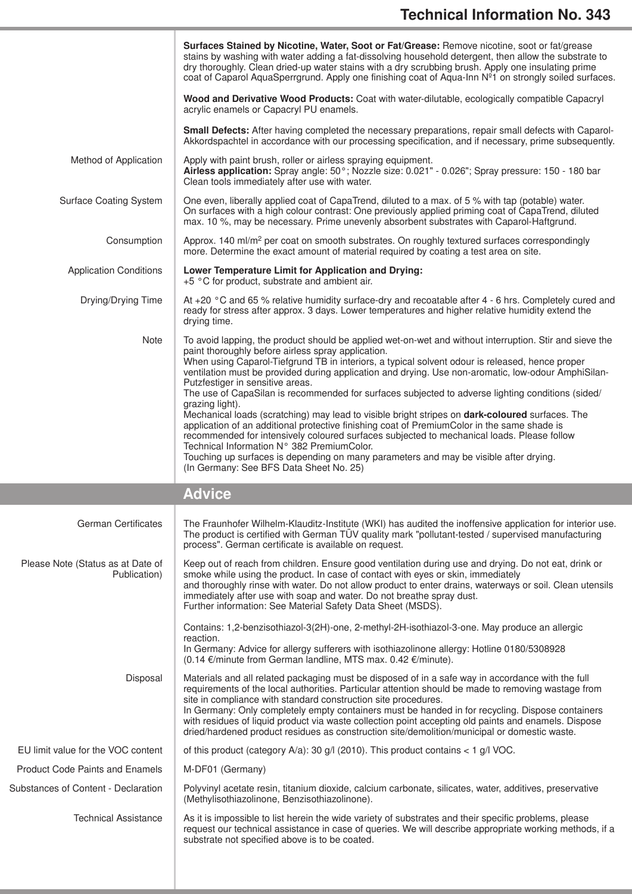|                                                   | Surfaces Stained by Nicotine, Water, Soot or Fat/Grease: Remove nicotine, soot or fat/grease<br>stains by washing with water adding a fat-dissolving household detergent, then allow the substrate to<br>dry thoroughly. Clean dried-up water stains with a dry scrubbing brush. Apply one insulating prime<br>coat of Caparol AquaSperrgrund. Apply one finishing coat of Aqua-Inn Nº1 on strongly soiled surfaces.                                                                                                                                                                   |
|---------------------------------------------------|----------------------------------------------------------------------------------------------------------------------------------------------------------------------------------------------------------------------------------------------------------------------------------------------------------------------------------------------------------------------------------------------------------------------------------------------------------------------------------------------------------------------------------------------------------------------------------------|
|                                                   | Wood and Derivative Wood Products: Coat with water-dilutable, ecologically compatible Capacryl<br>acrylic enamels or Capacryl PU enamels.                                                                                                                                                                                                                                                                                                                                                                                                                                              |
|                                                   | Small Defects: After having completed the necessary preparations, repair small defects with Caparol-<br>Akkordspachtel in accordance with our processing specification, and if necessary, prime subsequently.                                                                                                                                                                                                                                                                                                                                                                          |
| Method of Application                             | Apply with paint brush, roller or airless spraying equipment.<br>Airless application: Spray angle: 50°; Nozzle size: 0.021" - 0.026"; Spray pressure: 150 - 180 bar<br>Clean tools immediately after use with water.                                                                                                                                                                                                                                                                                                                                                                   |
| <b>Surface Coating System</b>                     | One even, liberally applied coat of CapaTrend, diluted to a max. of 5 % with tap (potable) water.<br>On surfaces with a high colour contrast: One previously applied priming coat of CapaTrend, diluted<br>max. 10 %, may be necessary. Prime unevenly absorbent substrates with Caparol-Haftgrund.                                                                                                                                                                                                                                                                                    |
| Consumption                                       | Approx. 140 ml/m <sup>2</sup> per coat on smooth substrates. On roughly textured surfaces correspondingly<br>more. Determine the exact amount of material required by coating a test area on site.                                                                                                                                                                                                                                                                                                                                                                                     |
| <b>Application Conditions</b>                     | Lower Temperature Limit for Application and Drying:<br>+5 °C for product, substrate and ambient air.                                                                                                                                                                                                                                                                                                                                                                                                                                                                                   |
| Drying/Drying Time                                | At +20 °C and 65 % relative humidity surface-dry and recoatable after 4 - 6 hrs. Completely cured and<br>ready for stress after approx. 3 days. Lower temperatures and higher relative humidity extend the<br>drying time.                                                                                                                                                                                                                                                                                                                                                             |
| <b>Note</b>                                       | To avoid lapping, the product should be applied wet-on-wet and without interruption. Stir and sieve the<br>paint thoroughly before airless spray application.<br>When using Caparol-Tiefgrund TB in interiors, a typical solvent odour is released, hence proper<br>ventilation must be provided during application and drying. Use non-aromatic, low-odour AmphiSilan-<br>Putzfestiger in sensitive areas.<br>The use of CapaSilan is recommended for surfaces subjected to adverse lighting conditions (sided/<br>grazing light).                                                    |
|                                                   | Mechanical loads (scratching) may lead to visible bright stripes on dark-coloured surfaces. The<br>application of an additional protective finishing coat of PremiumColor in the same shade is<br>recommended for intensively coloured surfaces subjected to mechanical loads. Please follow<br>Technical Information N° 382 PremiumColor.                                                                                                                                                                                                                                             |
|                                                   | Touching up surfaces is depending on many parameters and may be visible after drying.<br>(In Germany: See BFS Data Sheet No. 25)                                                                                                                                                                                                                                                                                                                                                                                                                                                       |
|                                                   | <b>Advice</b>                                                                                                                                                                                                                                                                                                                                                                                                                                                                                                                                                                          |
| German Certificates                               | The Fraunhofer Wilhelm-Klauditz-Institute (WKI) has audited the inoffensive application for interior use.<br>The product is certified with German TÜV quality mark "pollutant-tested / supervised manufacturing<br>process". German certificate is available on request.                                                                                                                                                                                                                                                                                                               |
| Please Note (Status as at Date of<br>Publication) | Keep out of reach from children. Ensure good ventilation during use and drying. Do not eat, drink or<br>smoke while using the product. In case of contact with eyes or skin, immediately<br>and thoroughly rinse with water. Do not allow product to enter drains, waterways or soil. Clean utensils<br>immediately after use with soap and water. Do not breathe spray dust.<br>Further information: See Material Safety Data Sheet (MSDS).                                                                                                                                           |
|                                                   | Contains: 1,2-benzisothiazol-3(2H)-one, 2-methyl-2H-isothiazol-3-one. May produce an allergic<br>reaction.                                                                                                                                                                                                                                                                                                                                                                                                                                                                             |
|                                                   | In Germany: Advice for allergy sufferers with isothiazolinone allergy: Hotline 0180/5308928<br>(0.14 €/minute from German landline, MTS max. 0.42 €/minute).                                                                                                                                                                                                                                                                                                                                                                                                                           |
| Disposal                                          | Materials and all related packaging must be disposed of in a safe way in accordance with the full<br>requirements of the local authorities. Particular attention should be made to removing wastage from<br>site in compliance with standard construction site procedures.<br>In Germany: Only completely empty containers must be handed in for recycling. Dispose containers<br>with residues of liquid product via waste collection point accepting old paints and enamels. Dispose<br>dried/hardened product residues as construction site/demolition/municipal or domestic waste. |
| EU limit value for the VOC content                | of this product (category $A/a$ ): 30 g/l (2010). This product contains < 1 g/l VOC.                                                                                                                                                                                                                                                                                                                                                                                                                                                                                                   |
| <b>Product Code Paints and Enamels</b>            | M-DF01 (Germany)                                                                                                                                                                                                                                                                                                                                                                                                                                                                                                                                                                       |
| Substances of Content - Declaration               | Polyvinyl acetate resin, titanium dioxide, calcium carbonate, silicates, water, additives, preservative<br>(Methylisothiazolinone, Benzisothiazolinone).                                                                                                                                                                                                                                                                                                                                                                                                                               |